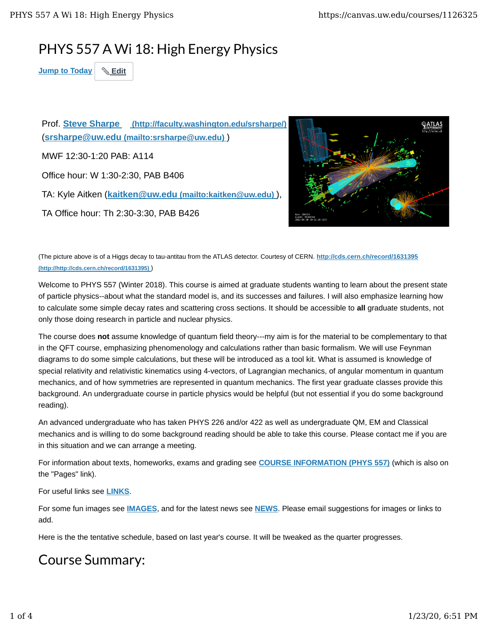## PHYS 557 A Wi 18: High Energy Physics

**Jump to Today Edit**

Prof. **Steve Sharpe (http://faculty.washington.edu/srsharpe/)** (**srsharpe@uw.edu (mailto:srsharpe@uw.edu)** ) MWF 12:30-1:20 PAB: A114 Office hour: W 1:30-2:30, PAB B406 TA: Kyle Aitken (**kaitken@uw.edu (mailto:kaitken@uw.edu)** ), TA Office hour: Th 2:30-3:30, PAB B426



(The picture above is of a Higgs decay to tau-antitau from the ATLAS detector. Courtesy of CERN. **http://cds.cern.ch/record/1631395 (http://http://cds.cern.ch/record/1631395)** )

Welcome to PHYS 557 (Winter 2018). This course is aimed at graduate students wanting to learn about the present state of particle physics--about what the standard model is, and its successes and failures. I will also emphasize learning how to calculate some simple decay rates and scattering cross sections. It should be accessible to **all** graduate students, not only those doing research in particle and nuclear physics.

The course does **not** assume knowledge of quantum field theory---my aim is for the material to be complementary to that in the QFT course, emphasizing phenomenology and calculations rather than basic formalism. We will use Feynman diagrams to do some simple calculations, but these will be introduced as a tool kit. What is assumed is knowledge of special relativity and relativistic kinematics using 4-vectors, of Lagrangian mechanics, of angular momentum in quantum mechanics, and of how symmetries are represented in quantum mechanics. The first year graduate classes provide this background. An undergraduate course in particle physics would be helpful (but not essential if you do some background reading).

An advanced undergraduate who has taken PHYS 226 and/or 422 as well as undergraduate QM, EM and Classical mechanics and is willing to do some background reading should be able to take this course. Please contact me if you are in this situation and we can arrange a meeting.

For information about texts, homeworks, exams and grading see **COURSE INFORMATION (PHYS 557)** (which is also on the "Pages" link).

For useful links see **LINKS**.

For some fun images see **IMAGES**, and for the latest news see **NEWS**. Please email suggestions for images or links to add.

Here is the the tentative schedule, based on last year's course. It will be tweaked as the quarter progresses.

## Course Summary: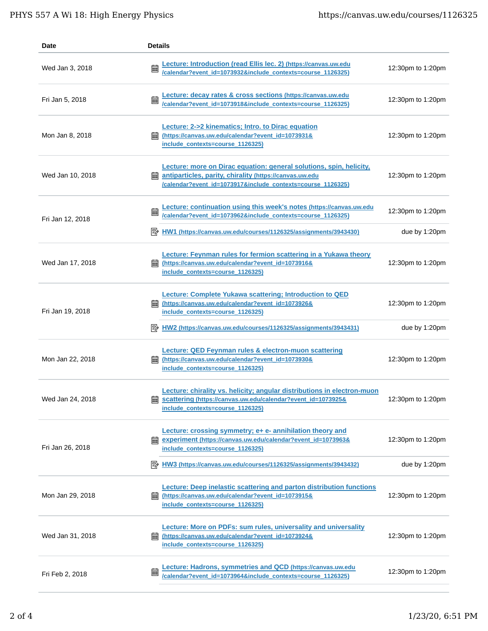| Date             | <b>Details</b>                                                                                                                                                                                |                         |
|------------------|-----------------------------------------------------------------------------------------------------------------------------------------------------------------------------------------------|-------------------------|
| Wed Jan 3, 2018  | Lecture: Introduction (read Ellis lec. 2) (https://canvas.uw.edu<br>圇<br>/calendar?event_id=1073932&include_contexts=course_1126325)                                                          | 12:30pm to 1:20pm       |
| Fri Jan 5, 2018  | Lecture: decay rates & cross sections (https://canvas.uw.edu<br>酾<br>/calendar?event_id=1073918&include_contexts=course_1126325)                                                              | 12:30pm to 1:20pm       |
| Mon Jan 8, 2018  | <b>Lecture: 2-&gt;2 kinematics; Intro. to Dirac equation</b><br>(https://canvas.uw.edu/calendar?event_id=1073931&<br>酾<br>include_contexts=course_1126325)                                    | 12:30pm to 1:20pm       |
| Wed Jan 10, 2018 | Lecture: more on Dirac equation: general solutions, spin, helicity,<br>antiparticles, parity, chirality (https://canvas.uw.edu<br>/calendar?event_id=1073917&include_contexts=course_1126325) | 12:30pm to 1:20pm       |
| Fri Jan 12, 2018 | Lecture: continuation using this week's notes (https://canvas.uw.edu<br>匾<br>/calendar?event_id=1073962&include_contexts=course_1126325)                                                      | 12:30pm to 1:20pm       |
|                  | HW1 (https://canvas.uw.edu/courses/1126325/assignments/3943430)                                                                                                                               | due by $1:20 \text{pm}$ |
| Wed Jan 17, 2018 | Lecture: Feynman rules for fermion scattering in a Yukawa theory<br>(https://canvas.uw.edu/calendar?event_id=1073916&<br>鰄<br>include_contexts=course_1126325)                                | 12:30pm to 1:20pm       |
| Fri Jan 19, 2018 | Lecture: Complete Yukawa scattering; Introduction to QED<br>(https://canvas.uw.edu/calendar?event_id=1073926&<br>include_contexts=course_1126325)                                             | 12:30pm to 1:20pm       |
|                  | <b>E</b> HW2 (https://canvas.uw.edu/courses/1126325/assignments/3943431)                                                                                                                      | due by $1:20 \text{pm}$ |
| Mon Jan 22, 2018 | <b>Lecture: QED Feynman rules &amp; electron-muon scattering</b><br>(https://canvas.uw.edu/calendar?event_id=1073930&<br>酾<br>include_contexts=course_1126325)                                | 12:30pm to 1:20pm       |
| Wed Jan 24, 2018 | Lecture: chirality vs. helicity; angular distributions in electron-muon<br>scattering (https://canvas.uw.edu/calendar?event_id=1073925&<br>include_contexts=course_1126325)                   | 12:30pm to 1:20pm       |
| Fri Jan 26, 2018 | Lecture: crossing symmetry; e+ e- annihilation theory and<br>experiment (https://canvas.uw.edu/calendar?event_id=1073963&<br>繭<br>include_contexts=course_1126325)                            | 12:30pm to 1:20pm       |
|                  | $\Rightarrow$ HW3 (https://canvas.uw.edu/courses/1126325/assignments/3943432)                                                                                                                 | due by 1:20pm           |
| Mon Jan 29, 2018 | <b>Lecture: Deep inelastic scattering and parton distribution functions</b><br>(https://canvas.uw.edu/calendar?event_id=1073915&<br>酾<br>include_contexts=course_1126325)                     | 12:30pm to 1:20pm       |
| Wed Jan 31, 2018 | <b>Lecture: More on PDFs: sum rules, universality and universality</b><br>(https://canvas.uw.edu/calendar?event_id=1073924&<br>酾<br>include_contexts=course_1126325)                          | 12:30pm to 1:20pm       |
| Fri Feb 2, 2018  | Lecture: Hadrons, symmetries and QCD (https://canvas.uw.edu<br>匾<br>/calendar?event_id=1073964&include_contexts=course_1126325)                                                               | 12:30pm to 1:20pm       |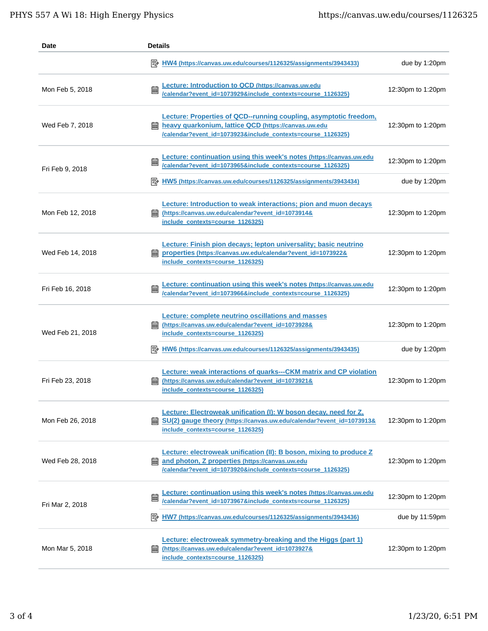| Date             | <b>Details</b>                                                                                                                                                                                    |                         |
|------------------|---------------------------------------------------------------------------------------------------------------------------------------------------------------------------------------------------|-------------------------|
|                  | 眇<br>HW4 (https://canvas.uw.edu/courses/1126325/assignments/3943433)                                                                                                                              | due by $1:20 \text{pm}$ |
| Mon Feb 5, 2018  | Lecture: Introduction to QCD (https://canvas.uw.edu<br>篇<br>/calendar?event_id=1073929&include_contexts=course_1126325)                                                                           | 12:30pm to 1:20pm       |
| Wed Feb 7, 2018  | Lecture: Properties of QCD--running coupling, asymptotic freedom,<br>heavy quarkonium, lattice QCD (https://canvas.uw.edu<br>翩<br>/calendar?event_id=1073923&include_contexts=course_1126325)     | 12:30pm to 1:20pm       |
| Fri Feb 9, 2018  | Lecture: continuation using this week's notes (https://canvas.uw.edu/calendar?event_id=1073965&include_contexts=course_1126325)<br>匾                                                              | 12:30pm to 1:20pm       |
|                  | E HW5 (https://canvas.uw.edu/courses/1126325/assignments/3943434)                                                                                                                                 | due by 1:20pm           |
| Mon Feb 12, 2018 | Lecture: Introduction to weak interactions; pion and muon decays<br>(https://canvas.uw.edu/calendar?event_id=1073914&<br>酾<br>include contexts=course 1126325)                                    | 12:30pm to 1:20pm       |
| Wed Feb 14, 2018 | Lecture: Finish pion decays; lepton universality; basic neutrino<br>properties (https://canvas.uw.edu/calendar?event_id=1073922&<br>include contexts=course 1126325)                              | 12:30pm to 1:20pm       |
| Fri Feb 16, 2018 | Lecture: continuation using this week's notes (https://canvas.uw.edu<br>/calendar?event_id=1073966&include_contexts=course_1126325)                                                               | 12:30pm to 1:20pm       |
| Wed Feb 21, 2018 | Lecture: complete neutrino oscillations and masses<br>(https://canvas.uw.edu/calendar?event_id=1073928&<br>臝<br>include contexts=course 1126325)                                                  | 12:30pm to 1:20pm       |
|                  | HW6 (https://canvas.uw.edu/courses/1126325/assignments/3943435)                                                                                                                                   | due by 1:20pm           |
| Fri Feb 23, 2018 | <b>Lecture: weak interactions of quarks---CKM matrix and CP violation</b><br>(https://canvas.uw.edu/calendar?event_id=1073921&<br>酾<br>include_contexts=course_1126325)                           | 12:30pm to 1:20pm       |
| Mon Feb 26, 2018 | Lecture: Electroweak unification (I): W boson decay, need for Z,<br><b>■ SU(2) gauge theory (https://canvas.uw.edu/calendar?event_id=1073913&amp;</b><br>include_contexts=course_1126325)         | 12:30pm to 1:20pm       |
| Wed Feb 28, 2018 | <b>Lecture: electroweak unification (II): B boson, mixing to produce Z</b><br>and photon, Z properties (https://canvas.uw.edu<br>藟<br>/calendar?event_id=1073920&include_contexts=course_1126325) | 12:30pm to 1:20pm       |
| Fri Mar 2, 2018  | Lecture: continuation using this week's notes (https://canvas.uw.edu<br>匾<br>/calendar?event_id=1073967&include_contexts=course_1126325)                                                          | 12:30pm to 1:20pm       |
|                  | HW7 (https://canvas.uw.edu/courses/1126325/assignments/3943436)                                                                                                                                   | due by $11:59$ pm       |
| Mon Mar 5, 2018  | <b>Lecture: electroweak symmetry-breaking and the Higgs (part 1)</b><br>(https://canvas.uw.edu/calendar?event_id=1073927&<br>酾<br>include_contexts=course_1126325)                                | 12:30pm to 1:20pm       |